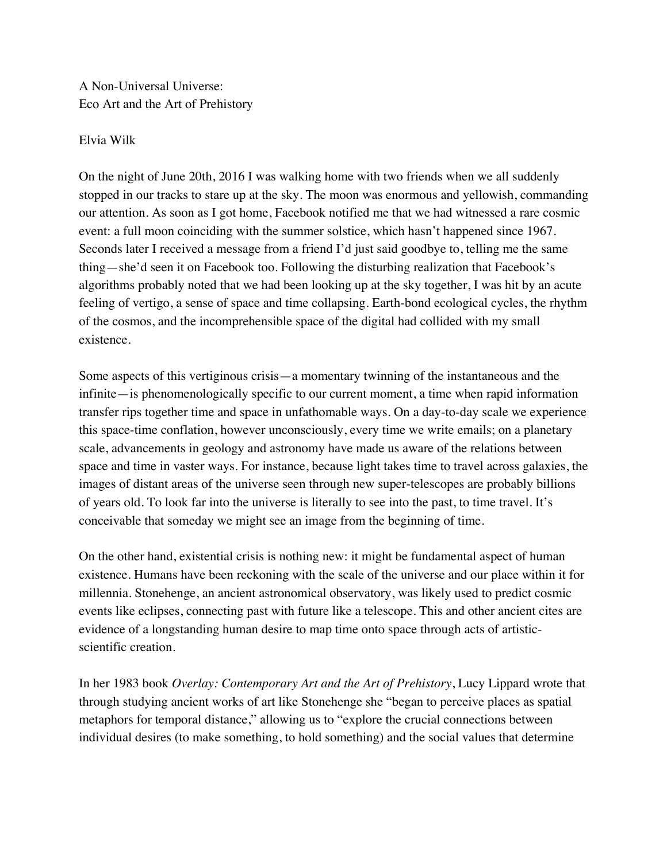A Non-Universal Universe: Eco Art and the Art of Prehistory

## Elvia Wilk

On the night of June 20th, 2016 I was walking home with two friends when we all suddenly stopped in our tracks to stare up at the sky. The moon was enormous and yellowish, commanding our attention. As soon as I got home, Facebook notified me that we had witnessed a rare cosmic event: a full moon coinciding with the summer solstice, which hasn't happened since 1967. Seconds later I received a message from a friend I'd just said goodbye to, telling me the same thing—she'd seen it on Facebook too. Following the disturbing realization that Facebook's algorithms probably noted that we had been looking up at the sky together, I was hit by an acute feeling of vertigo, a sense of space and time collapsing. Earth-bond ecological cycles, the rhythm of the cosmos, and the incomprehensible space of the digital had collided with my small existence.

Some aspects of this vertiginous crisis—a momentary twinning of the instantaneous and the infinite—is phenomenologically specific to our current moment, a time when rapid information transfer rips together time and space in unfathomable ways. On a day-to-day scale we experience this space-time conflation, however unconsciously, every time we write emails; on a planetary scale, advancements in geology and astronomy have made us aware of the relations between space and time in vaster ways. For instance, because light takes time to travel across galaxies, the images of distant areas of the universe seen through new super-telescopes are probably billions of years old. To look far into the universe is literally to see into the past, to time travel. It's conceivable that someday we might see an image from the beginning of time.

On the other hand, existential crisis is nothing new: it might be fundamental aspect of human existence. Humans have been reckoning with the scale of the universe and our place within it for millennia. Stonehenge, an ancient astronomical observatory, was likely used to predict cosmic events like eclipses, connecting past with future like a telescope. This and other ancient cites are evidence of a longstanding human desire to map time onto space through acts of artisticscientific creation.

In her 1983 book *Overlay: Contemporary Art and the Art of Prehistory*, Lucy Lippard wrote that through studying ancient works of art like Stonehenge she "began to perceive places as spatial metaphors for temporal distance," allowing us to "explore the crucial connections between individual desires (to make something, to hold something) and the social values that determine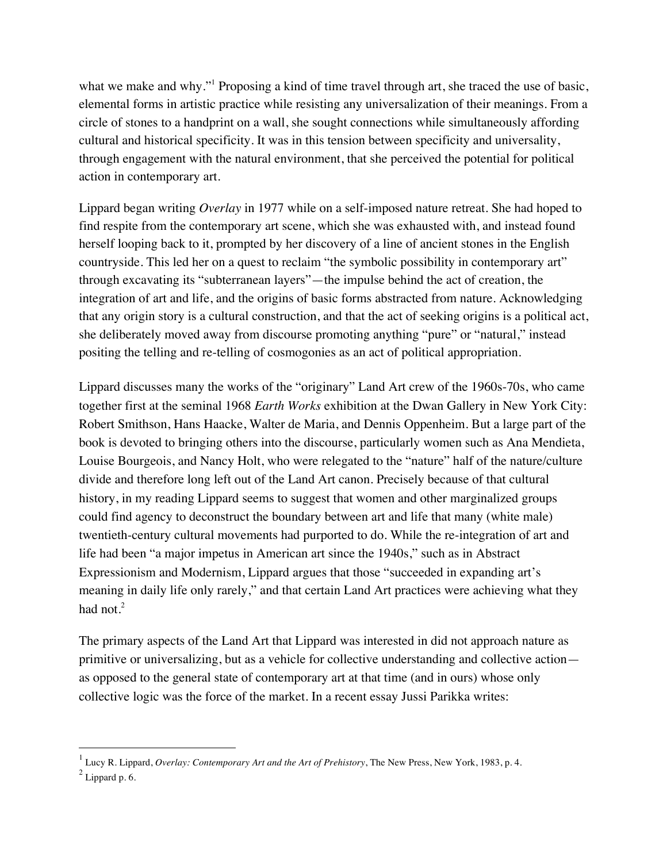what we make and why." Proposing a kind of time travel through art, she traced the use of basic, elemental forms in artistic practice while resisting any universalization of their meanings. From a circle of stones to a handprint on a wall, she sought connections while simultaneously affording cultural and historical specificity. It was in this tension between specificity and universality, through engagement with the natural environment, that she perceived the potential for political action in contemporary art.

Lippard began writing *Overlay* in 1977 while on a self-imposed nature retreat. She had hoped to find respite from the contemporary art scene, which she was exhausted with, and instead found herself looping back to it, prompted by her discovery of a line of ancient stones in the English countryside. This led her on a quest to reclaim "the symbolic possibility in contemporary art" through excavating its "subterranean layers"—the impulse behind the act of creation, the integration of art and life, and the origins of basic forms abstracted from nature. Acknowledging that any origin story is a cultural construction, and that the act of seeking origins is a political act, she deliberately moved away from discourse promoting anything "pure" or "natural," instead positing the telling and re-telling of cosmogonies as an act of political appropriation.

Lippard discusses many the works of the "originary" Land Art crew of the 1960s-70s, who came together first at the seminal 1968 *Earth Works* exhibition at the Dwan Gallery in New York City: Robert Smithson, Hans Haacke, Walter de Maria, and Dennis Oppenheim. But a large part of the book is devoted to bringing others into the discourse, particularly women such as Ana Mendieta, Louise Bourgeois, and Nancy Holt, who were relegated to the "nature" half of the nature/culture divide and therefore long left out of the Land Art canon. Precisely because of that cultural history, in my reading Lippard seems to suggest that women and other marginalized groups could find agency to deconstruct the boundary between art and life that many (white male) twentieth-century cultural movements had purported to do. While the re-integration of art and life had been "a major impetus in American art since the 1940s," such as in Abstract Expressionism and Modernism, Lippard argues that those "succeeded in expanding art's meaning in daily life only rarely," and that certain Land Art practices were achieving what they had not. $2$ 

The primary aspects of the Land Art that Lippard was interested in did not approach nature as primitive or universalizing, but as a vehicle for collective understanding and collective action as opposed to the general state of contemporary art at that time (and in ours) whose only collective logic was the force of the market. In a recent essay Jussi Parikka writes:

 $\overline{a}$ 

<sup>1</sup> Lucy R. Lippard, *Overlay: Contemporary Art and the Art of Prehistory*, The New Press, New York, 1983, p. 4.

 $^{2}$  Lippard p. 6.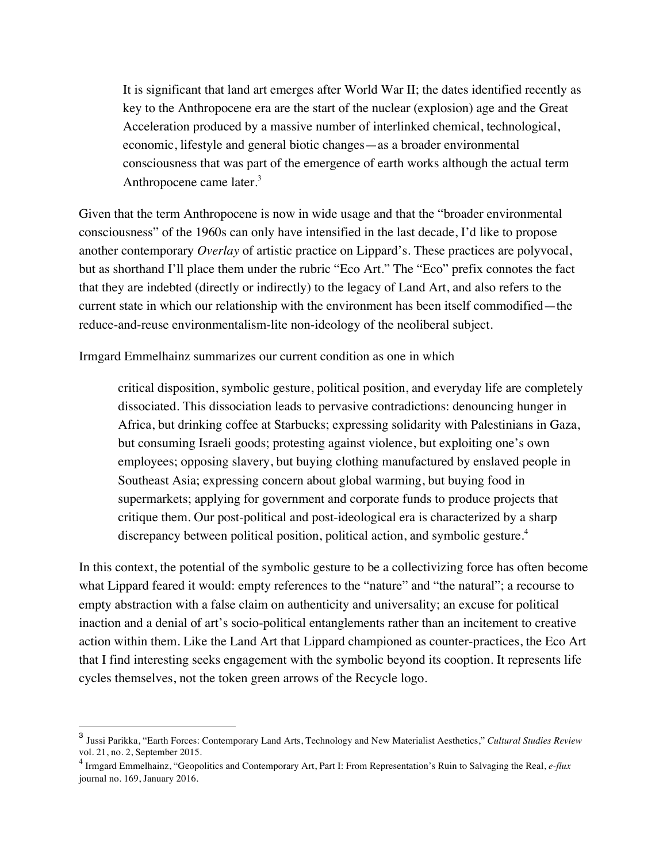It is significant that land art emerges after World War II; the dates identified recently as key to the Anthropocene era are the start of the nuclear (explosion) age and the Great Acceleration produced by a massive number of interlinked chemical, technological, economic, lifestyle and general biotic changes—as a broader environmental consciousness that was part of the emergence of earth works although the actual term Anthropocene came later.<sup>3</sup>

Given that the term Anthropocene is now in wide usage and that the "broader environmental consciousness" of the 1960s can only have intensified in the last decade, I'd like to propose another contemporary *Overlay* of artistic practice on Lippard's. These practices are polyvocal, but as shorthand I'll place them under the rubric "Eco Art." The "Eco" prefix connotes the fact that they are indebted (directly or indirectly) to the legacy of Land Art, and also refers to the current state in which our relationship with the environment has been itself commodified—the reduce-and-reuse environmentalism-lite non-ideology of the neoliberal subject.

Irmgard Emmelhainz summarizes our current condition as one in which

critical disposition, symbolic gesture, political position, and everyday life are completely dissociated. This dissociation leads to pervasive contradictions: denouncing hunger in Africa, but drinking coffee at Starbucks; expressing solidarity with Palestinians in Gaza, but consuming Israeli goods; protesting against violence, but exploiting one's own employees; opposing slavery, but buying clothing manufactured by enslaved people in Southeast Asia; expressing concern about global warming, but buying food in supermarkets; applying for government and corporate funds to produce projects that critique them. Our post-political and post-ideological era is characterized by a sharp discrepancy between political position, political action, and symbolic gesture.<sup>4</sup>

In this context, the potential of the symbolic gesture to be a collectivizing force has often become what Lippard feared it would: empty references to the "nature" and "the natural"; a recourse to empty abstraction with a false claim on authenticity and universality; an excuse for political inaction and a denial of art's socio-political entanglements rather than an incitement to creative action within them. Like the Land Art that Lippard championed as counter-practices, the Eco Art that I find interesting seeks engagement with the symbolic beyond its cooption. It represents life cycles themselves, not the token green arrows of the Recycle logo.

 $\overline{a}$ 

<sup>3</sup> Jussi Parikka, "Earth Forces: Contemporary Land Arts, Technology and New Materialist Aesthetics," *Cultural Studies Review*

<sup>&</sup>lt;sup>4</sup> Irmgard Emmelhainz, "Geopolitics and Contemporary Art, Part I: From Representation's Ruin to Salvaging the Real, *e-flux* journal no. 169, January 2016.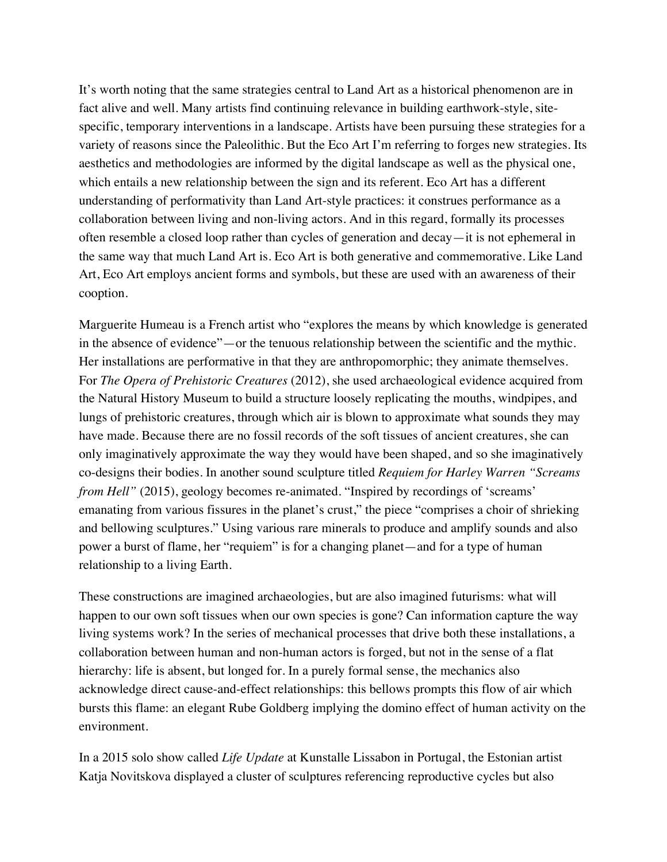It's worth noting that the same strategies central to Land Art as a historical phenomenon are in fact alive and well. Many artists find continuing relevance in building earthwork-style, sitespecific, temporary interventions in a landscape. Artists have been pursuing these strategies for a variety of reasons since the Paleolithic. But the Eco Art I'm referring to forges new strategies. Its aesthetics and methodologies are informed by the digital landscape as well as the physical one, which entails a new relationship between the sign and its referent. Eco Art has a different understanding of performativity than Land Art-style practices: it construes performance as a collaboration between living and non-living actors. And in this regard, formally its processes often resemble a closed loop rather than cycles of generation and decay—it is not ephemeral in the same way that much Land Art is. Eco Art is both generative and commemorative. Like Land Art, Eco Art employs ancient forms and symbols, but these are used with an awareness of their cooption.

Marguerite Humeau is a French artist who "explores the means by which knowledge is generated in the absence of evidence"—or the tenuous relationship between the scientific and the mythic. Her installations are performative in that they are anthropomorphic; they animate themselves. For *The Opera of Prehistoric Creatures* (2012), she used archaeological evidence acquired from the Natural History Museum to build a structure loosely replicating the mouths, windpipes, and lungs of prehistoric creatures, through which air is blown to approximate what sounds they may have made. Because there are no fossil records of the soft tissues of ancient creatures, she can only imaginatively approximate the way they would have been shaped, and so she imaginatively co-designs their bodies. In another sound sculpture titled *Requiem for Harley Warren "Screams from Hell"* (2015), geology becomes re-animated. "Inspired by recordings of 'screams' emanating from various fissures in the planet's crust," the piece "comprises a choir of shrieking and bellowing sculptures." Using various rare minerals to produce and amplify sounds and also power a burst of flame, her "requiem" is for a changing planet—and for a type of human relationship to a living Earth.

These constructions are imagined archaeologies, but are also imagined futurisms: what will happen to our own soft tissues when our own species is gone? Can information capture the way living systems work? In the series of mechanical processes that drive both these installations, a collaboration between human and non-human actors is forged, but not in the sense of a flat hierarchy: life is absent, but longed for. In a purely formal sense, the mechanics also acknowledge direct cause-and-effect relationships: this bellows prompts this flow of air which bursts this flame: an elegant Rube Goldberg implying the domino effect of human activity on the environment.

In a 2015 solo show called *Life Update* at Kunstalle Lissabon in Portugal, the Estonian artist Katja Novitskova displayed a cluster of sculptures referencing reproductive cycles but also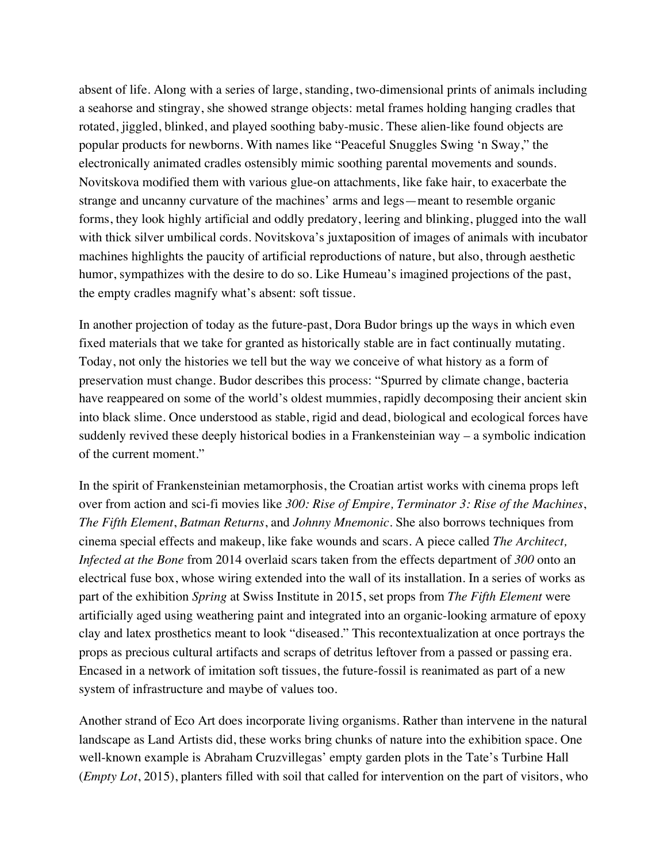absent of life. Along with a series of large, standing, two-dimensional prints of animals including a seahorse and stingray, she showed strange objects: metal frames holding hanging cradles that rotated, jiggled, blinked, and played soothing baby-music. These alien-like found objects are popular products for newborns. With names like "Peaceful Snuggles Swing 'n Sway," the electronically animated cradles ostensibly mimic soothing parental movements and sounds. Novitskova modified them with various glue-on attachments, like fake hair, to exacerbate the strange and uncanny curvature of the machines' arms and legs—meant to resemble organic forms, they look highly artificial and oddly predatory, leering and blinking, plugged into the wall with thick silver umbilical cords. Novitskova's juxtaposition of images of animals with incubator machines highlights the paucity of artificial reproductions of nature, but also, through aesthetic humor, sympathizes with the desire to do so. Like Humeau's imagined projections of the past, the empty cradles magnify what's absent: soft tissue.

In another projection of today as the future-past, Dora Budor brings up the ways in which even fixed materials that we take for granted as historically stable are in fact continually mutating. Today, not only the histories we tell but the way we conceive of what history as a form of preservation must change. Budor describes this process: "Spurred by climate change, bacteria have reappeared on some of the world's oldest mummies, rapidly decomposing their ancient skin into black slime. Once understood as stable, rigid and dead, biological and ecological forces have suddenly revived these deeply historical bodies in a Frankensteinian way – a symbolic indication of the current moment."

In the spirit of Frankensteinian metamorphosis, the Croatian artist works with cinema props left over from action and sci-fi movies like *300: Rise of Empire, Terminator 3: Rise of the Machines*, *The Fifth Element*, *Batman Returns*, and *Johnny Mnemonic*. She also borrows techniques from cinema special effects and makeup, like fake wounds and scars. A piece called *The Architect, Infected at the Bone* from 2014 overlaid scars taken from the effects department of *300* onto an electrical fuse box, whose wiring extended into the wall of its installation. In a series of works as part of the exhibition *Spring* at Swiss Institute in 2015, set props from *The Fifth Element* were artificially aged using weathering paint and integrated into an organic-looking armature of epoxy clay and latex prosthetics meant to look "diseased." This recontextualization at once portrays the props as precious cultural artifacts and scraps of detritus leftover from a passed or passing era. Encased in a network of imitation soft tissues, the future-fossil is reanimated as part of a new system of infrastructure and maybe of values too.

Another strand of Eco Art does incorporate living organisms. Rather than intervene in the natural landscape as Land Artists did, these works bring chunks of nature into the exhibition space. One well-known example is Abraham Cruzvillegas' empty garden plots in the Tate's Turbine Hall (*Empty Lot*, 2015), planters filled with soil that called for intervention on the part of visitors, who